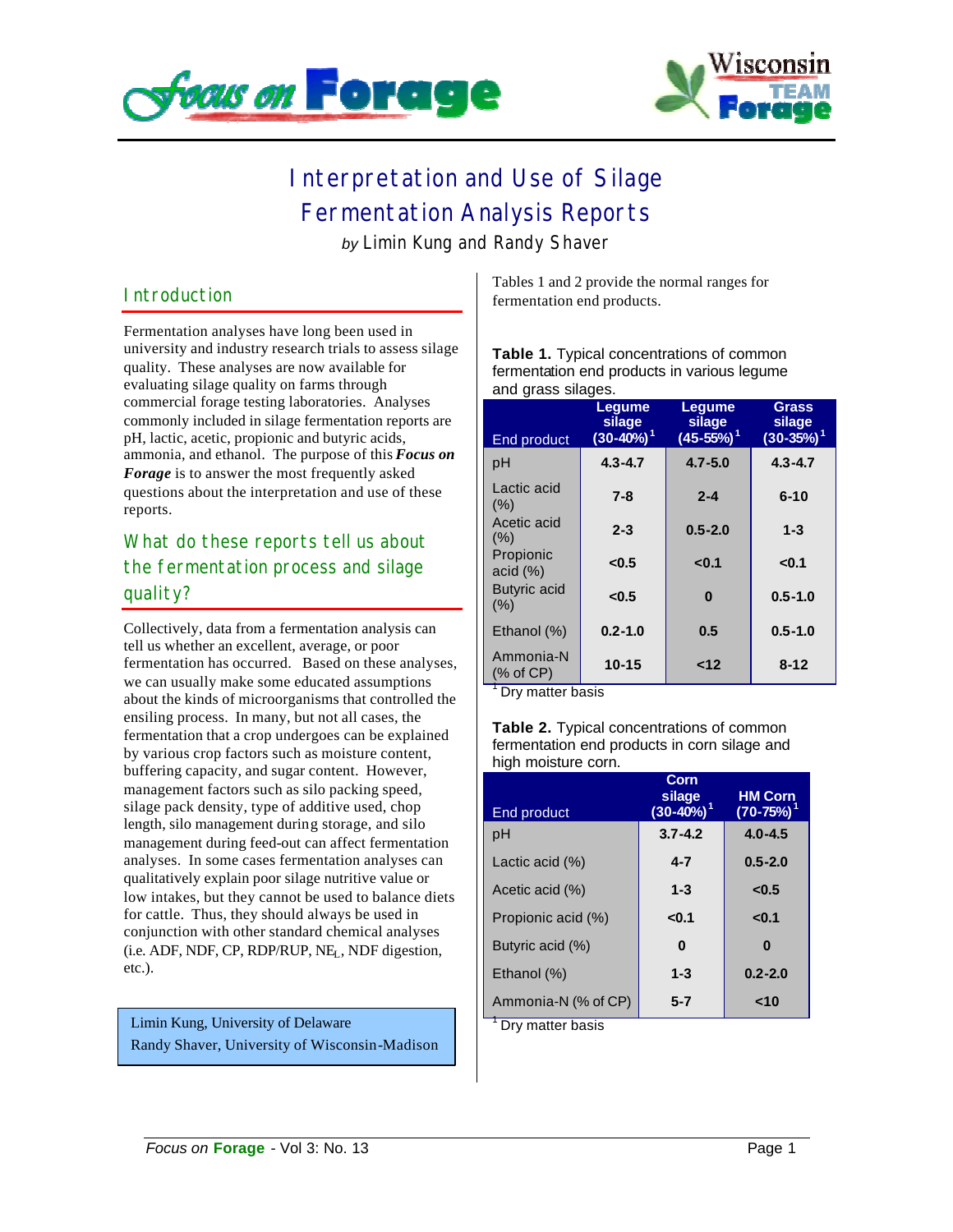



# Interpretation and Use of Silage Fermentation Analysis Reports

*by* Limin Kung and Randy Shaver

#### **Introduction**

Fermentation analyses have long been used in university and industry research trials to assess silage quality. These analyses are now available for evaluating silage quality on farms through commercial forage testing laboratories. Analyses commonly included in silage fermentation reports are pH, lactic, acetic, propionic and butyric acids, ammonia, and ethanol. The purpose of this *Focus on Forage* is to answer the most frequently asked questions about the interpretation and use of these reports.

### What do these reports tell us about the fermentation process and silage quality?

Collectively, data from a fermentation analysis can tell us whether an excellent, average, or poor fermentation has occurred. Based on these analyses, we can usually make some educated assumptions about the kinds of microorganisms that controlled the ensiling process. In many, but not all cases, the fermentation that a crop undergoes can be explained by various crop factors such as moisture content, buffering capacity, and sugar content. However, management factors such as silo packing speed, silage pack density, type of additive used, chop length, silo management during storage, and silo management during feed-out can affect fermentation analyses. In some cases fermentation analyses can qualitatively explain poor silage nutritive value or low intakes, but they cannot be used to balance diets for cattle. Thus, they should always be used in conjunction with other standard chemical analyses (i.e. ADF, NDF, CP, RDP/RUP, NEL, NDF digestion, etc.).

 $1$  Limin Kung, University of Delaware  $\frac{1}{\sqrt{1-\frac{1}{\pi}}}$  Dry matter basis Randy Shaver, University of Wisconsin-Madison

Tables 1 and 2 provide the normal ranges for fermentation end products.

**Table 1.** Typical concentrations of common fermentation end products in various legume

| and grass silages.         |                                 |                                                      |                                      |  |
|----------------------------|---------------------------------|------------------------------------------------------|--------------------------------------|--|
| <b>End product</b>         | Legume<br>silage<br>$(30-40%)1$ | <b>Legume</b><br>silage<br>$(45 - 55%)$ <sup>1</sup> | <b>Grass</b><br>silage<br>$(30-35%)$ |  |
| pH                         | $4.3 - 4.7$                     | $4.7 - 5.0$                                          | $4.3 - 4.7$                          |  |
| Lactic acid<br>(% )        | 7-8                             | $2 - 4$                                              | $6 - 10$                             |  |
| Acetic acid<br>(%)         | $2 - 3$                         | $0.5 - 2.0$                                          | $1 - 3$                              |  |
| Propionic<br>acid $(\%)$   | < 0.5                           | < 0.1                                                | < 0.1                                |  |
| <b>Butyric</b> acid<br>(%) | < 0.5                           | $\bf{0}$                                             | $0.5 - 1.0$                          |  |
| Ethanol (%)                | $0.2 - 1.0$                     | 0.5                                                  | $0.5 - 1.0$                          |  |
| Ammonia-N<br>$(\%$ of CP)  | $10 - 15$                       | <12                                                  | 8-12                                 |  |

<sup>1</sup> Dry matter basis

**Table 2.** Typical concentrations of common fermentation end products in corn silage and high moisture corn.

| End product         | Corn<br>silage<br>$(30 - 40\%)$ <sup>1</sup> | <b>HM Corn</b><br>$(70 - 75%)$ |
|---------------------|----------------------------------------------|--------------------------------|
| рH                  | $3.7 - 4.2$                                  | $4.0 - 4.5$                    |
| Lactic acid $(\%)$  | $4 - 7$                                      | $0.5 - 2.0$                    |
| Acetic acid (%)     | $1 - 3$                                      | < 0.5                          |
| Propionic acid (%)  | $0.1$                                        | < 0.1                          |
| Butyric acid (%)    | 0                                            | 0                              |
| Ethanol (%)         | $1 - 3$                                      | $0.2 - 2.0$                    |
| Ammonia-N (% of CP) | $5 - 7$                                      | $<$ 10                         |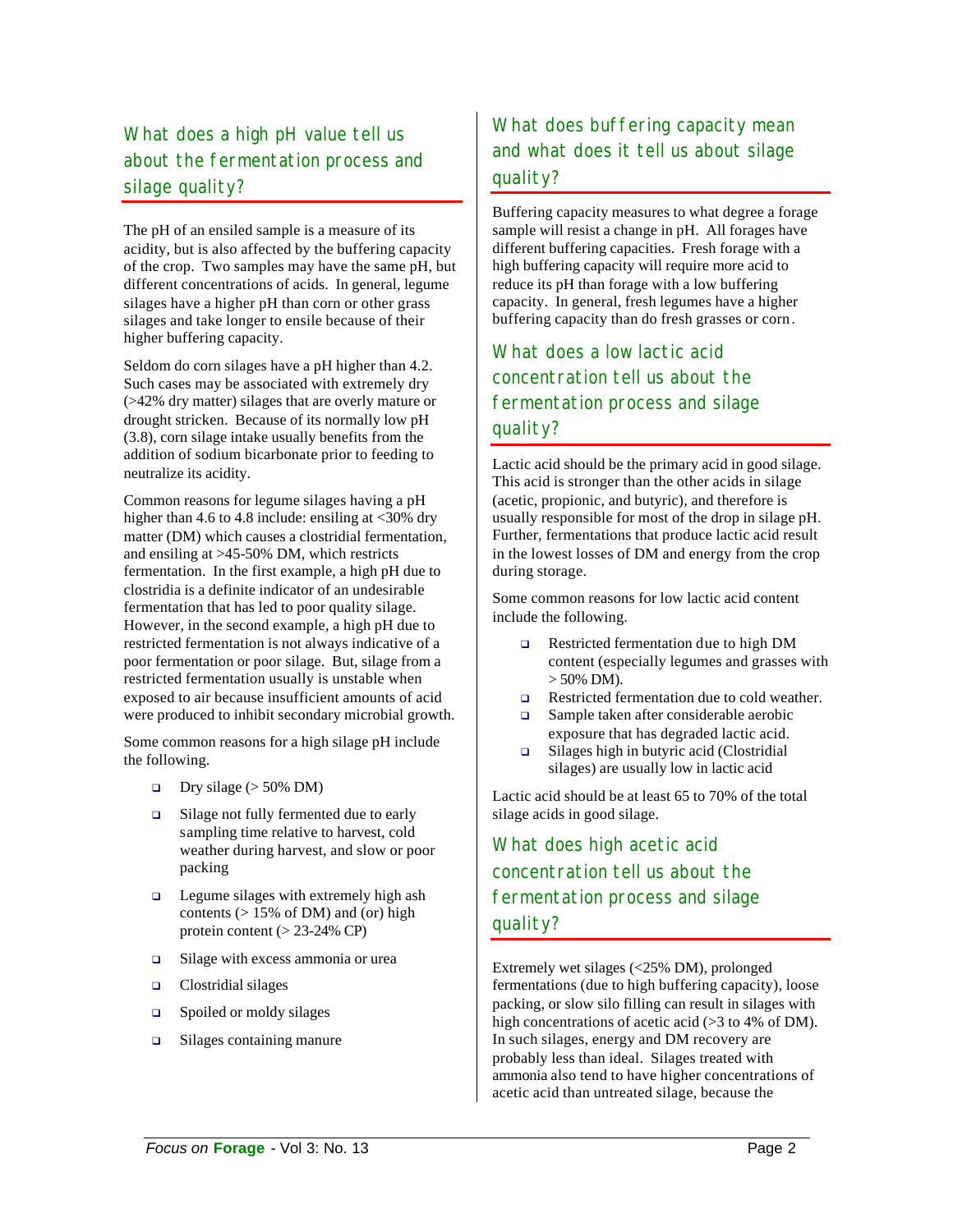### What does a high pH value tell us about the fermentation process and silage quality?

The pH of an ensiled sample is a measure of its acidity, but is also affected by the buffering capacity of the crop. Two samples may have the same pH, but different concentrations of acids. In general, legume silages have a higher pH than corn or other grass silages and take longer to ensile because of their higher buffering capacity.

Seldom do corn silages have a pH higher than 4.2. Such cases may be associated with extremely dry (>42% dry matter) silages that are overly mature or drought stricken. Because of its normally low pH (3.8), corn silage intake usually benefits from the addition of sodium bicarbonate prior to feeding to neutralize its acidity.

Common reasons for legume silages having a pH higher than 4.6 to 4.8 include: ensiling at  $\langle 30\% \text{ dry} \rangle$ matter (DM) which causes a clostridial fermentation, and ensiling at >45-50% DM, which restricts fermentation. In the first example, a high pH due to clostridia is a definite indicator of an undesirable fermentation that has led to poor quality silage. However, in the second example, a high pH due to restricted fermentation is not always indicative of a poor fermentation or poor silage. But, silage from a restricted fermentation usually is unstable when exposed to air because insufficient amounts of acid were produced to inhibit secondary microbial growth.

Some common reasons for a high silage pH include the following.

- $\Box$  Dry silage (> 50% DM)
- □ Silage not fully fermented due to early sampling time relative to harvest, cold weather during harvest, and slow or poor packing
- $\Box$  Legume silages with extremely high ash contents  $(> 15\% \text{ of DM})$  and  $(or)$  high protein content  $(> 23-24\% \text{ CP})$
- $\Box$  Silage with excess ammonia or urea
- $\Box$  Clostridial silages
- $\Box$  Spoiled or moldy silages
- $\Box$  Silages containing manure

### What does buffering capacity mean and what does it tell us about silage quality?

Buffering capacity measures to what degree a forage sample will resist a change in pH. All forages have different buffering capacities. Fresh forage with a high buffering capacity will require more acid to reduce its pH than forage with a low buffering capacity. In general, fresh legumes have a higher buffering capacity than do fresh grasses or corn.

### What does a low lactic acid concentration tell us about the fermentation process and silage quality?

Lactic acid should be the primary acid in good silage. This acid is stronger than the other acids in silage (acetic, propionic, and butyric), and therefore is usually responsible for most of the drop in silage pH. Further, fermentations that produce lactic acid result in the lowest losses of DM and energy from the crop during storage.

Some common reasons for low lactic acid content include the following.

- **q** Restricted fermentation due to high DM content (especially legumes and grasses with  $> 50\%$  DM).
- **□** Restricted fermentation due to cold weather.
- Sample taken after considerable aerobic exposure that has degraded lactic acid.
- $\Box$  Silages high in butyric acid (Clostridial silages) are usually low in lactic acid

Lactic acid should be at least 65 to 70% of the total silage acids in good silage.

### What does high acetic acid concentration tell us about the fermentation process and silage quality?

Extremely wet silages (<25% DM), prolonged fermentations (due to high buffering capacity), loose packing, or slow silo filling can result in silages with high concentrations of acetic acid (>3 to 4% of DM). In such silages, energy and DM recovery are probably less than ideal. Silages treated with ammonia also tend to have higher concentrations of acetic acid than untreated silage, because the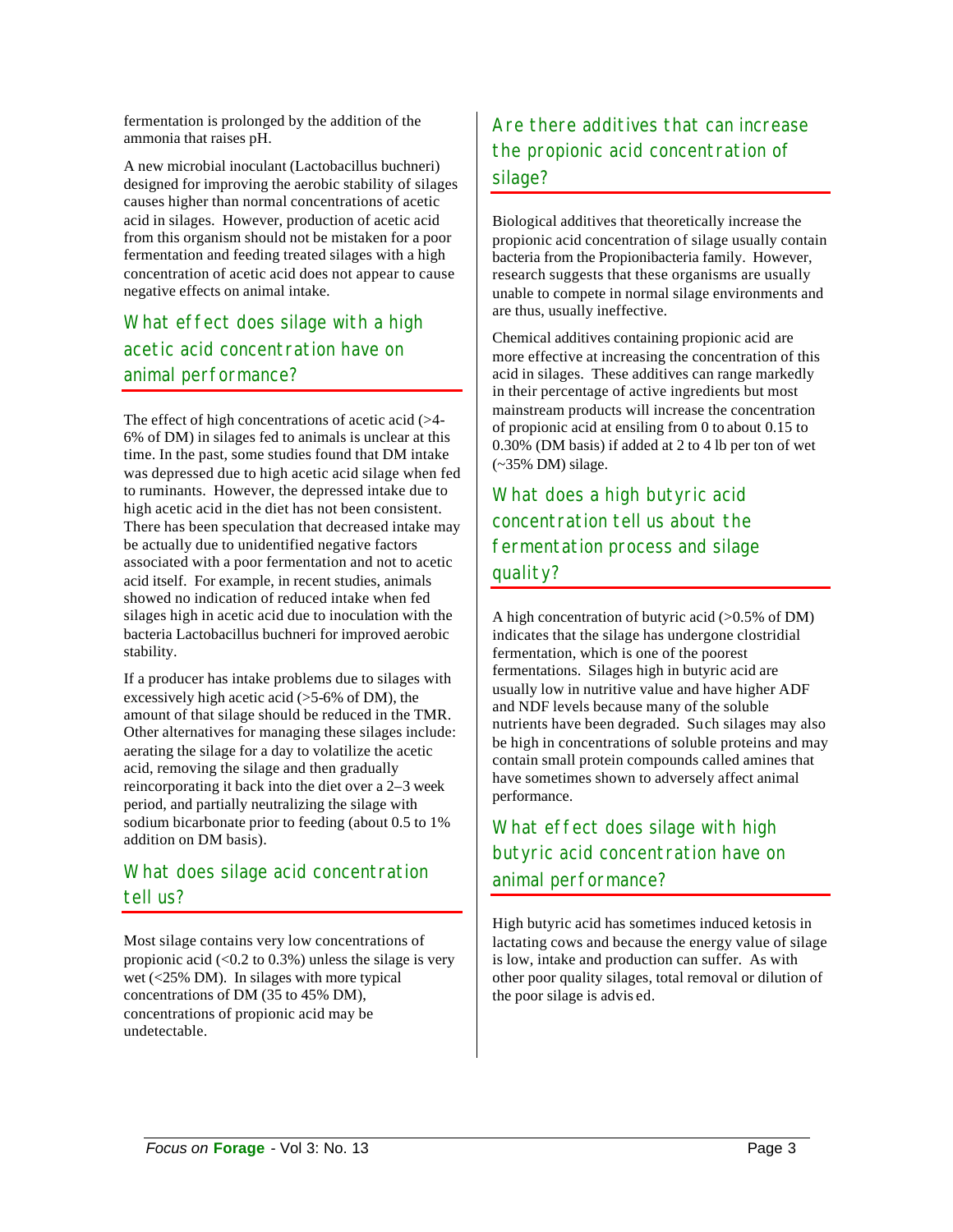fermentation is prolonged by the addition of the ammonia that raises pH.

A new microbial inoculant (Lactobacillus buchneri) designed for improving the aerobic stability of silages causes higher than normal concentrations of acetic acid in silages. However, production of acetic acid from this organism should not be mistaken for a poor fermentation and feeding treated silages with a high concentration of acetic acid does not appear to cause negative effects on animal intake.

### What effect does silage with a high acetic acid concentration have on animal performance?

The effect of high concentrations of acetic acid (>4-6% of DM) in silages fed to animals is unclear at this time. In the past, some studies found that DM intake was depressed due to high acetic acid silage when fed to ruminants. However, the depressed intake due to high acetic acid in the diet has not been consistent. There has been speculation that decreased intake may be actually due to unidentified negative factors associated with a poor fermentation and not to acetic acid itself. For example, in recent studies, animals showed no indication of reduced intake when fed silages high in acetic acid due to inoculation with the bacteria Lactobacillus buchneri for improved aerobic stability.

If a producer has intake problems due to silages with excessively high acetic acid  $(>5-6\%$  of DM), the amount of that silage should be reduced in the TMR. Other alternatives for managing these silages include: aerating the silage for a day to volatilize the acetic acid, removing the silage and then gradually reincorporating it back into the diet over a 2–3 week period, and partially neutralizing the silage with sodium bicarbonate prior to feeding (about 0.5 to 1% addition on DM basis).

#### What does silage acid concentration tell us?

Most silage contains very low concentrations of propionic acid  $(<0.2 \text{ to } 0.3\%)$  unless the silage is very wet (<25% DM). In silages with more typical concentrations of DM (35 to 45% DM), concentrations of propionic acid may be undetectable.

### Are there additives that can increase the propionic acid concentration of silage?

Biological additives that theoretically increase the propionic acid concentration of silage usually contain bacteria from the Propionibacteria family. However, research suggests that these organisms are usually unable to compete in normal silage environments and are thus, usually ineffective.

Chemical additives containing propionic acid are more effective at increasing the concentration of this acid in silages. These additives can range markedly in their percentage of active ingredients but most mainstream products will increase the concentration of propionic acid at ensiling from 0 to about 0.15 to 0.30% (DM basis) if added at 2 to 4 lb per ton of wet (~35% DM) silage.

### What does a high butyric acid concentration tell us about the fermentation process and silage quality?

A high concentration of butyric acid (>0.5% of DM) indicates that the silage has undergone clostridial fermentation, which is one of the poorest fermentations. Silages high in butyric acid are usually low in nutritive value and have higher ADF and NDF levels because many of the soluble nutrients have been degraded. Such silages may also be high in concentrations of soluble proteins and may contain small protein compounds called amines that have sometimes shown to adversely affect animal performance.

## What effect does silage with high butyric acid concentration have on animal performance?

High butyric acid has sometimes induced ketosis in lactating cows and because the energy value of silage is low, intake and production can suffer. As with other poor quality silages, total removal or dilution of the poor silage is advis ed.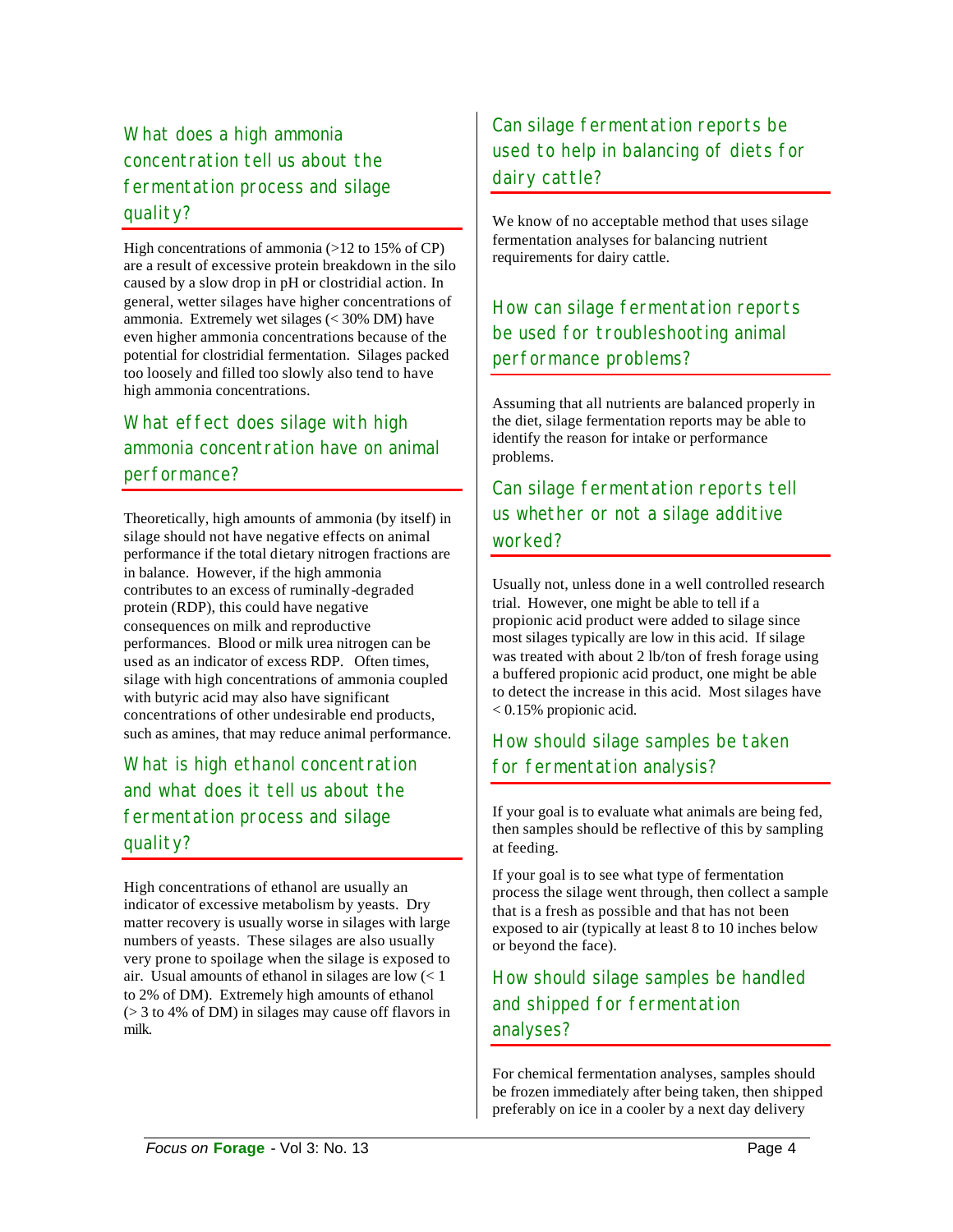### What does a high ammonia concentration tell us about the fermentation process and silage quality?

High concentrations of ammonia (>12 to 15% of CP) are a result of excessive protein breakdown in the silo caused by a slow drop in pH or clostridial action. In general, wetter silages have higher concentrations of ammonia. Extremely wet silages (< 30% DM) have even higher ammonia concentrations because of the potential for clostridial fermentation. Silages packed too loosely and filled too slowly also tend to have high ammonia concentrations.

### What effect does silage with high ammonia concentration have on animal performance?

Theoretically, high amounts of ammonia (by itself) in silage should not have negative effects on animal performance if the total dietary nitrogen fractions are in balance. However, if the high ammonia contributes to an excess of ruminally-degraded protein (RDP), this could have negative consequences on milk and reproductive performances. Blood or milk urea nitrogen can be used as an indicator of excess RDP. Often times, silage with high concentrations of ammonia coupled with butyric acid may also have significant concentrations of other undesirable end products, such as amines, that may reduce animal performance.

### What is high ethanol concentration and what does it tell us about the fermentation process and silage quality?

High concentrations of ethanol are usually an indicator of excessive metabolism by yeasts. Dry matter recovery is usually worse in silages with large numbers of yeasts. These silages are also usually very prone to spoilage when the silage is exposed to air. Usual amounts of ethanol in silages are low (< 1 to 2% of DM). Extremely high amounts of ethanol (> 3 to 4% of DM) in silages may cause off flavors in milk.

### Can silage fermentation reports be used to help in balancing of diets for dairy cattle?

We know of no acceptable method that uses silage fermentation analyses for balancing nutrient requirements for dairy cattle.

How can silage fermentation reports be used for troubleshooting animal performance problems?

Assuming that all nutrients are balanced properly in the diet, silage fermentation reports may be able to identify the reason for intake or performance problems.

#### Can silage fermentation reports tell us whether or not a silage additive worked?

Usually not, unless done in a well controlled research trial. However, one might be able to tell if a propionic acid product were added to silage since most silages typically are low in this acid. If silage was treated with about 2 lb/ton of fresh forage using a buffered propionic acid product, one might be able to detect the increase in this acid. Most silages have < 0.15% propionic acid.

### How should silage samples be taken for fermentation analysis?

If your goal is to evaluate what animals are being fed, then samples should be reflective of this by sampling at feeding.

If your goal is to see what type of fermentation process the silage went through, then collect a sample that is a fresh as possible and that has not been exposed to air (typically at least 8 to 10 inches below or beyond the face).

### How should silage samples be handled and shipped for fermentation analyses?

For chemical fermentation analyses, samples should be frozen immediately after being taken, then shipped preferably on ice in a cooler by a next day delivery